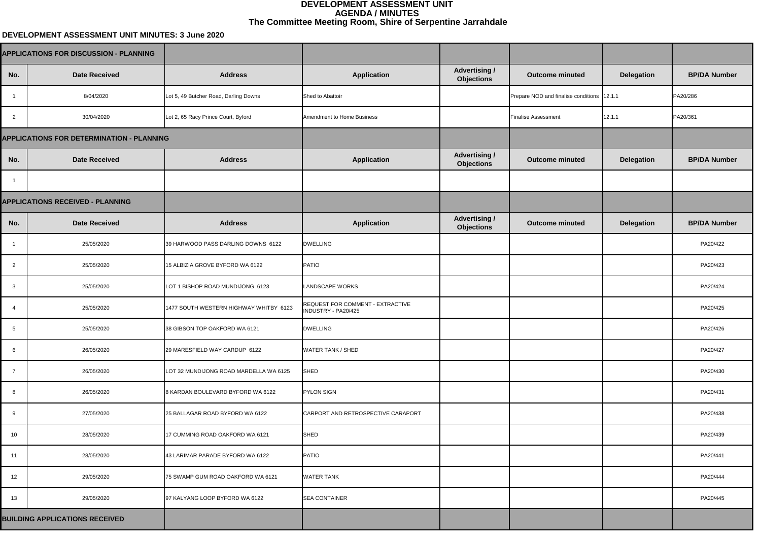## **DEVELOPMENT ASSESSMENT UNIT MINUTES: 3 June 2020**

| <b>Advertising /</b><br><b>Objections</b> | <b>Outcome minuted</b>                     | <b>Delegation</b> | <b>BP/DA Number</b> |  |
|-------------------------------------------|--------------------------------------------|-------------------|---------------------|--|
|                                           | Prepare NOD and finalise conditions 12.1.1 |                   | PA20/286            |  |
|                                           | <b>Finalise Assessment</b>                 | 12.1.1            | PA20/361            |  |
|                                           |                                            |                   |                     |  |
| <b>Advertising /</b><br><b>Objections</b> | <b>Outcome minuted</b>                     | <b>Delegation</b> | <b>BP/DA Number</b> |  |
|                                           |                                            |                   |                     |  |
|                                           |                                            |                   |                     |  |
| <b>Advertising /</b><br><b>Objections</b> | <b>Outcome minuted</b>                     | <b>Delegation</b> | <b>BP/DA Number</b> |  |
|                                           |                                            |                   | PA20/422            |  |
|                                           |                                            |                   | PA20/423            |  |
|                                           |                                            |                   | PA20/424            |  |
|                                           |                                            |                   | PA20/425            |  |
|                                           |                                            |                   | PA20/426            |  |
|                                           |                                            |                   | PA20/427            |  |
|                                           |                                            |                   | PA20/430            |  |
|                                           |                                            |                   | PA20/431            |  |
|                                           |                                            |                   | PA20/438            |  |
|                                           |                                            |                   | PA20/439            |  |
|                                           |                                            |                   | PA20/441            |  |
|                                           |                                            |                   | PA20/444            |  |
|                                           |                                            |                   | PA20/445            |  |
|                                           |                                            |                   |                     |  |

|                 | <b>APPLICATIONS FOR DISCUSSION - PLANNING</b>    |                                        |                                                                |                                           |                                            |                   |                  |
|-----------------|--------------------------------------------------|----------------------------------------|----------------------------------------------------------------|-------------------------------------------|--------------------------------------------|-------------------|------------------|
| No.             | <b>Date Received</b>                             | <b>Address</b>                         | <b>Application</b>                                             | <b>Advertising /</b><br><b>Objections</b> | <b>Outcome minuted</b>                     | <b>Delegation</b> | <b>BP/DA Nun</b> |
|                 | 8/04/2020                                        | Lot 5, 49 Butcher Road, Darling Downs  | Shed to Abattoir                                               |                                           | Prepare NOD and finalise conditions 12.1.1 |                   | PA20/286         |
| $\overline{2}$  | 30/04/2020                                       | Lot 2, 65 Racy Prince Court, Byford    | Amendment to Home Business                                     |                                           | <b>Finalise Assessment</b>                 | 12.1.1            | PA20/361         |
|                 | <b>APPLICATIONS FOR DETERMINATION - PLANNING</b> |                                        |                                                                |                                           |                                            |                   |                  |
| No.             | <b>Date Received</b>                             | <b>Address</b>                         | <b>Application</b>                                             | <b>Advertising /</b><br><b>Objections</b> | <b>Outcome minuted</b>                     | <b>Delegation</b> | <b>BP/DA Nun</b> |
|                 |                                                  |                                        |                                                                |                                           |                                            |                   |                  |
|                 | <b>APPLICATIONS RECEIVED - PLANNING</b>          |                                        |                                                                |                                           |                                            |                   |                  |
| No.             | <b>Date Received</b>                             | <b>Address</b>                         | <b>Application</b>                                             | <b>Advertising /</b><br><b>Objections</b> | <b>Outcome minuted</b>                     | <b>Delegation</b> | <b>BP/DA Nun</b> |
| $\overline{1}$  | 25/05/2020                                       | 39 HARWOOD PASS DARLING DOWNS 6122     | <b>DWELLING</b>                                                |                                           |                                            |                   | PA20/422         |
| $\overline{2}$  | 25/05/2020                                       | 15 ALBIZIA GROVE BYFORD WA 6122        | PATIO                                                          |                                           |                                            |                   | PA20/423         |
| $\mathbf{3}$    | 25/05/2020                                       | LOT 1 BISHOP ROAD MUNDIJONG 6123       | <b>LANDSCAPE WORKS</b>                                         |                                           |                                            |                   | PA20/424         |
| -4              | 25/05/2020                                       | 1477 SOUTH WESTERN HIGHWAY WHITBY 6123 | <b>REQUEST FOR COMMENT - EXTRACTIVE</b><br>INDUSTRY - PA20/425 |                                           |                                            |                   | PA20/425         |
| 5               | 25/05/2020                                       | 38 GIBSON TOP OAKFORD WA 6121          | <b>DWELLING</b>                                                |                                           |                                            |                   | PA20/426         |
| 6               | 26/05/2020                                       | 29 MARESFIELD WAY CARDUP 6122          | <b>WATER TANK / SHED</b>                                       |                                           |                                            |                   | PA20/427         |
| $\overline{7}$  | 26/05/2020                                       | LOT 32 MUNDIJONG ROAD MARDELLA WA 6125 | SHED                                                           |                                           |                                            |                   | PA20/430         |
| 8               | 26/05/2020                                       | 8 KARDAN BOULEVARD BYFORD WA 6122      | <b>PYLON SIGN</b>                                              |                                           |                                            |                   | PA20/431         |
| 9               | 27/05/2020                                       | 25 BALLAGAR ROAD BYFORD WA 6122        | CARPORT AND RETROSPECTIVE CARAPORT                             |                                           |                                            |                   | PA20/438         |
| 10 <sup>°</sup> | 28/05/2020                                       | 17 CUMMING ROAD OAKFORD WA 6121        | SHED                                                           |                                           |                                            |                   | PA20/439         |
| 11              | 28/05/2020                                       | 43 LARIMAR PARADE BYFORD WA 6122       | PATIO                                                          |                                           |                                            |                   | PA20/441         |
| 12              | 29/05/2020                                       | 75 SWAMP GUM ROAD OAKFORD WA 6121      | <b>WATER TANK</b>                                              |                                           |                                            |                   | PA20/444         |
| 13              | 29/05/2020                                       | 97 KALYANG LOOP BYFORD WA 6122         | <b>SEA CONTAINER</b>                                           |                                           |                                            |                   | PA20/445         |
|                 | <b>BUILDING APPLICATIONS RECEIVED</b>            |                                        |                                                                |                                           |                                            |                   |                  |

## **DEVELOPMENT ASSESSMENT UNIT AGENDA / MINUTES The Committee Meeting Room, Shire of Serpentine Jarrahdale**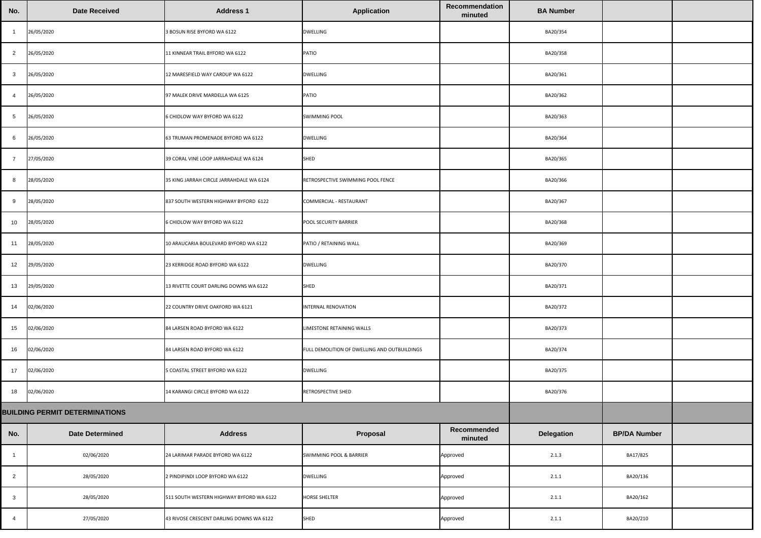| No.             | <b>Date Received</b>                  | <b>Address 1</b>                         | <b>Application</b>                           | Recommendation<br>minuted | <b>BA Number</b>  |                     |  |
|-----------------|---------------------------------------|------------------------------------------|----------------------------------------------|---------------------------|-------------------|---------------------|--|
|                 | 26/05/2020                            | 3 BOSUN RISE BYFORD WA 6122              | <b>DWELLING</b>                              |                           | BA20/354          |                     |  |
| $\overline{2}$  | 26/05/2020                            | 11 KINNEAR TRAIL BYFORD WA 6122          | PATIO                                        |                           | BA20/358          |                     |  |
| 3               | 26/05/2020                            | 12 MARESFIELD WAY CARDUP WA 6122         | <b>DWELLING</b>                              |                           | BA20/361          |                     |  |
|                 | 26/05/2020                            | 97 MALEK DRIVE MARDELLA WA 6125          | PATIO                                        |                           | BA20/362          |                     |  |
| $5\phantom{.0}$ | 26/05/2020                            | 6 CHIDLOW WAY BYFORD WA 6122             | <b>SWIMMING POOL</b>                         |                           | BA20/363          |                     |  |
| $6^{\circ}$     | 26/05/2020                            | 63 TRUMAN PROMENADE BYFORD WA 6122       | <b>DWELLING</b>                              |                           | BA20/364          |                     |  |
|                 | 27/05/2020                            | 39 CORAL VINE LOOP JARRAHDALE WA 6124    | <b>SHED</b>                                  |                           | BA20/365          |                     |  |
| 8               | 28/05/2020                            | 35 KING JARRAH CIRCLE JARRAHDALE WA 6124 | RETROSPECTIVE SWIMMING POOL FENCE            |                           | BA20/366          |                     |  |
| -9              | 28/05/2020                            | 837 SOUTH WESTERN HIGHWAY BYFORD 6122    | <b>COMMERCIAL - RESTAURANT</b>               |                           | BA20/367          |                     |  |
| 10 <sup>°</sup> | 28/05/2020                            | 6 CHIDLOW WAY BYFORD WA 6122             | <b>POOL SECURITY BARRIER</b>                 |                           | BA20/368          |                     |  |
| 11              | 28/05/2020                            | 10 ARAUCARIA BOULEVARD BYFORD WA 6122    | PATIO / RETAINING WALL                       |                           | BA20/369          |                     |  |
| 12              | 29/05/2020                            | 23 KERRIDGE ROAD BYFORD WA 6122          | <b>DWELLING</b>                              |                           | BA20/370          |                     |  |
| 13              | 29/05/2020                            | 13 RIVETTE COURT DARLING DOWNS WA 6122   | <b>SHED</b>                                  |                           | BA20/371          |                     |  |
| 14              | 02/06/2020                            | 22 COUNTRY DRIVE OAKFORD WA 6121         | INTERNAL RENOVATION                          |                           | BA20/372          |                     |  |
| 15              | 02/06/2020                            | 84 LARSEN ROAD BYFORD WA 6122            | LIMESTONE RETAINING WALLS                    |                           | BA20/373          |                     |  |
| 16              | 02/06/2020                            | 84 LARSEN ROAD BYFORD WA 6122            | FULL DEMOLITION OF DWELLING AND OUTBUILDINGS |                           | BA20/374          |                     |  |
| 17              | 02/06/2020                            | 5 COASTAL STREET BYFORD WA 6122          | <b>DWELLING</b>                              |                           | BA20/375          |                     |  |
| 18              | 02/06/2020                            | 14 KARANGI CIRCLE BYFORD WA 6122         | RETROSPECTIVE SHED                           |                           | BA20/376          |                     |  |
|                 | <b>BUILDING PERMIT DETERMINATIONS</b> |                                          |                                              |                           |                   |                     |  |
| No.             | <b>Date Determined</b>                | <b>Address</b>                           | Proposal                                     | Recommended<br>minuted    | <b>Delegation</b> | <b>BP/DA Number</b> |  |
|                 | 02/06/2020                            | 24 LARIMAR PARADE BYFORD WA 6122         | SWIMMING POOL & BARRIER                      | Approved                  | 2.1.3             | BA17/825            |  |
| $\overline{2}$  | 28/05/2020                            | 2 PINDIPINDI LOOP BYFORD WA 6122         | <b>DWELLING</b>                              | Approved                  | 2.1.1             | BA20/136            |  |
| $\mathbf{3}$    | 28/05/2020                            | 511 SOUTH WESTERN HIGHWAY BYFORD WA 6122 | <b>HORSE SHELTER</b>                         | Approved                  | 2.1.1             | BA20/162            |  |
| -4              | 27/05/2020                            | 43 RIVOSE CRESCENT DARLING DOWNS WA 6122 | <b>SHED</b>                                  | Approved                  | 2.1.1             | BA20/210            |  |

| No.                                   | <b>Date Received</b>   | <b>Address 1</b>                         | <b>Application</b>                           | Recommendation<br>minuted | <b>BA Number</b>  |                     |  |
|---------------------------------------|------------------------|------------------------------------------|----------------------------------------------|---------------------------|-------------------|---------------------|--|
|                                       | 26/05/2020             | 3 BOSUN RISE BYFORD WA 6122              | <b>DWELLING</b>                              |                           | BA20/354          |                     |  |
| $\overline{2}$                        | 26/05/2020             | 11 KINNEAR TRAIL BYFORD WA 6122          | PATIO                                        |                           | BA20/358          |                     |  |
| $\mathbf{3}$                          | 26/05/2020             | 12 MARESFIELD WAY CARDUP WA 6122         | <b>DWELLING</b>                              |                           | BA20/361          |                     |  |
| $\overline{4}$                        | 26/05/2020             | 97 MALEK DRIVE MARDELLA WA 6125          | <b>PATIO</b>                                 |                           | BA20/362          |                     |  |
| $5\overline{)}$                       | 26/05/2020             | 6 CHIDLOW WAY BYFORD WA 6122             | <b>SWIMMING POOL</b>                         |                           | BA20/363          |                     |  |
| 6                                     | 26/05/2020             | 63 TRUMAN PROMENADE BYFORD WA 6122       | <b>DWELLING</b>                              |                           | BA20/364          |                     |  |
| $\overline{7}$                        | 27/05/2020             | 39 CORAL VINE LOOP JARRAHDALE WA 6124    | <b>SHED</b>                                  |                           | BA20/365          |                     |  |
| $8\phantom{1}$                        | 28/05/2020             | 35 KING JARRAH CIRCLE JARRAHDALE WA 6124 | RETROSPECTIVE SWIMMING POOL FENCE            |                           | BA20/366          |                     |  |
| 9                                     | 28/05/2020             | 837 SOUTH WESTERN HIGHWAY BYFORD 6122    | <b>COMMERCIAL - RESTAURANT</b>               |                           | BA20/367          |                     |  |
| 10                                    | 28/05/2020             | 6 CHIDLOW WAY BYFORD WA 6122             | <b>POOL SECURITY BARRIER</b>                 |                           | BA20/368          |                     |  |
| 11                                    | 28/05/2020             | 10 ARAUCARIA BOULEVARD BYFORD WA 6122    | PATIO / RETAINING WALL                       |                           | BA20/369          |                     |  |
| 12                                    | 29/05/2020             | 23 KERRIDGE ROAD BYFORD WA 6122          | <b>DWELLING</b>                              |                           | BA20/370          |                     |  |
| 13                                    | 29/05/2020             | 13 RIVETTE COURT DARLING DOWNS WA 6122   | <b>SHED</b>                                  |                           | BA20/371          |                     |  |
| 14                                    | 02/06/2020             | 22 COUNTRY DRIVE OAKFORD WA 6121         | INTERNAL RENOVATION                          |                           | BA20/372          |                     |  |
| 15                                    | 02/06/2020             | 84 LARSEN ROAD BYFORD WA 6122            | LIMESTONE RETAINING WALLS                    |                           | BA20/373          |                     |  |
| 16                                    | 02/06/2020             | 84 LARSEN ROAD BYFORD WA 6122            | FULL DEMOLITION OF DWELLING AND OUTBUILDINGS |                           | BA20/374          |                     |  |
| 17                                    | 02/06/2020             | 5 COASTAL STREET BYFORD WA 6122          | <b>DWELLING</b>                              |                           | BA20/375          |                     |  |
| 18                                    | 02/06/2020             | 14 KARANGI CIRCLE BYFORD WA 6122         | RETROSPECTIVE SHED                           |                           | BA20/376          |                     |  |
| <b>BUILDING PERMIT DETERMINATIONS</b> |                        |                                          |                                              |                           |                   |                     |  |
| No.                                   | <b>Date Determined</b> | <b>Address</b>                           | Proposal                                     | Recommended<br>minuted    | <b>Delegation</b> | <b>BP/DA Number</b> |  |
|                                       | 02/06/2020             | 24 LARIMAR PARADE BYFORD WA 6122         | <b>SWIMMING POOL &amp; BARRIER</b>           | Approved                  | 2.1.3             | BA17/825            |  |
| $\overline{2}$                        | 28/05/2020             | 2 PINDIPINDI LOOP BYFORD WA 6122         | <b>DWELLING</b>                              | Approved                  | 2.1.1             | BA20/136            |  |
| $\mathbf{3}$                          | 28/05/2020             | 511 SOUTH WESTERN HIGHWAY BYFORD WA 6122 | <b>HORSE SHELTER</b>                         | Approved                  | 2.1.1             | BA20/162            |  |
|                                       | 27/05/2020             | 43 RIVOSE CRESCENT DARLING DOWNS WA 6122 | <b>SHED</b>                                  | Approved                  | 2.1.1             | BA20/210            |  |